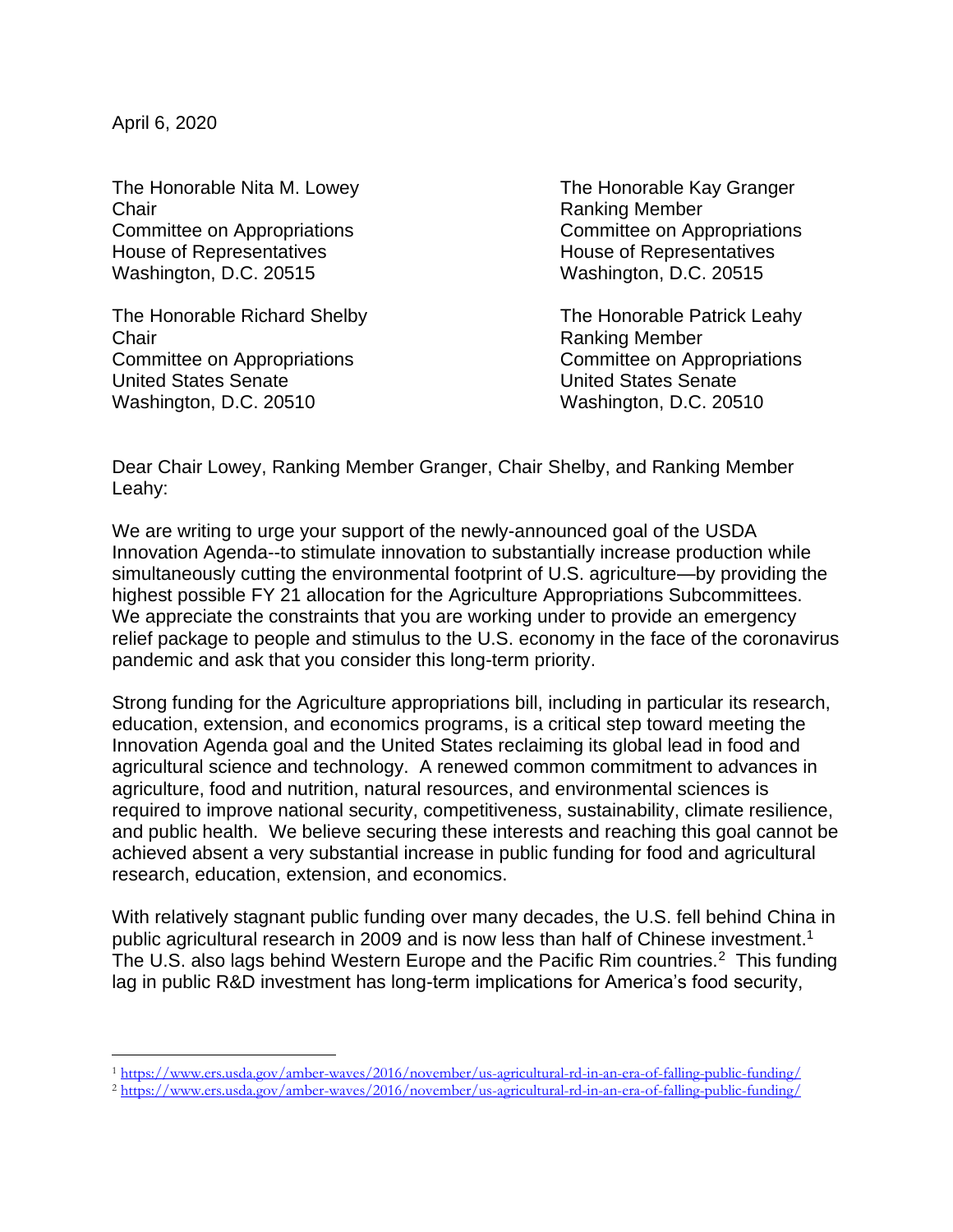April 6, 2020

The Honorable Nita M. Lowey The Honorable Kay Granger Chair Ranking Member Committee on Appropriations Committee on Appropriations House of Representatives **House II** House of Representatives Washington, D.C. 20515 Washington, D.C. 20515

The Honorable Richard Shelby The Honorable Patrick Leahy Chair Ranking Member Committee on Appropriations Committee on Appropriations United States Senate United States Senate Washington, D.C. 20510 Washington, D.C. 20510

Dear Chair Lowey, Ranking Member Granger, Chair Shelby, and Ranking Member Leahy:

We are writing to urge your support of the newly-announced goal of the USDA Innovation Agenda--to stimulate innovation to substantially increase production while simultaneously cutting the environmental footprint of U.S. agriculture—by providing the highest possible FY 21 allocation for the Agriculture Appropriations Subcommittees. We appreciate the constraints that you are working under to provide an emergency relief package to people and stimulus to the U.S. economy in the face of the coronavirus pandemic and ask that you consider this long-term priority.

Strong funding for the Agriculture appropriations bill, including in particular its research, education, extension, and economics programs, is a critical step toward meeting the Innovation Agenda goal and the United States reclaiming its global lead in food and agricultural science and technology. A renewed common commitment to advances in agriculture, food and nutrition, natural resources, and environmental sciences is required to improve national security, competitiveness, sustainability, climate resilience, and public health. We believe securing these interests and reaching this goal cannot be achieved absent a very substantial increase in public funding for food and agricultural research, education, extension, and economics.

With relatively stagnant public funding over many decades, the U.S. fell behind China in public agricultural research in 2009 and is now less than half of Chinese investment.<sup>1</sup> The U.S. also lags behind Western Europe and the Pacific Rim countries. $2$  This funding lag in public R&D investment has long-term implications for America's food security,

<sup>1</sup> <https://www.ers.usda.gov/amber-waves/2016/november/us-agricultural-rd-in-an-era-of-falling-public-funding/>

<sup>2</sup> <https://www.ers.usda.gov/amber-waves/2016/november/us-agricultural-rd-in-an-era-of-falling-public-funding/>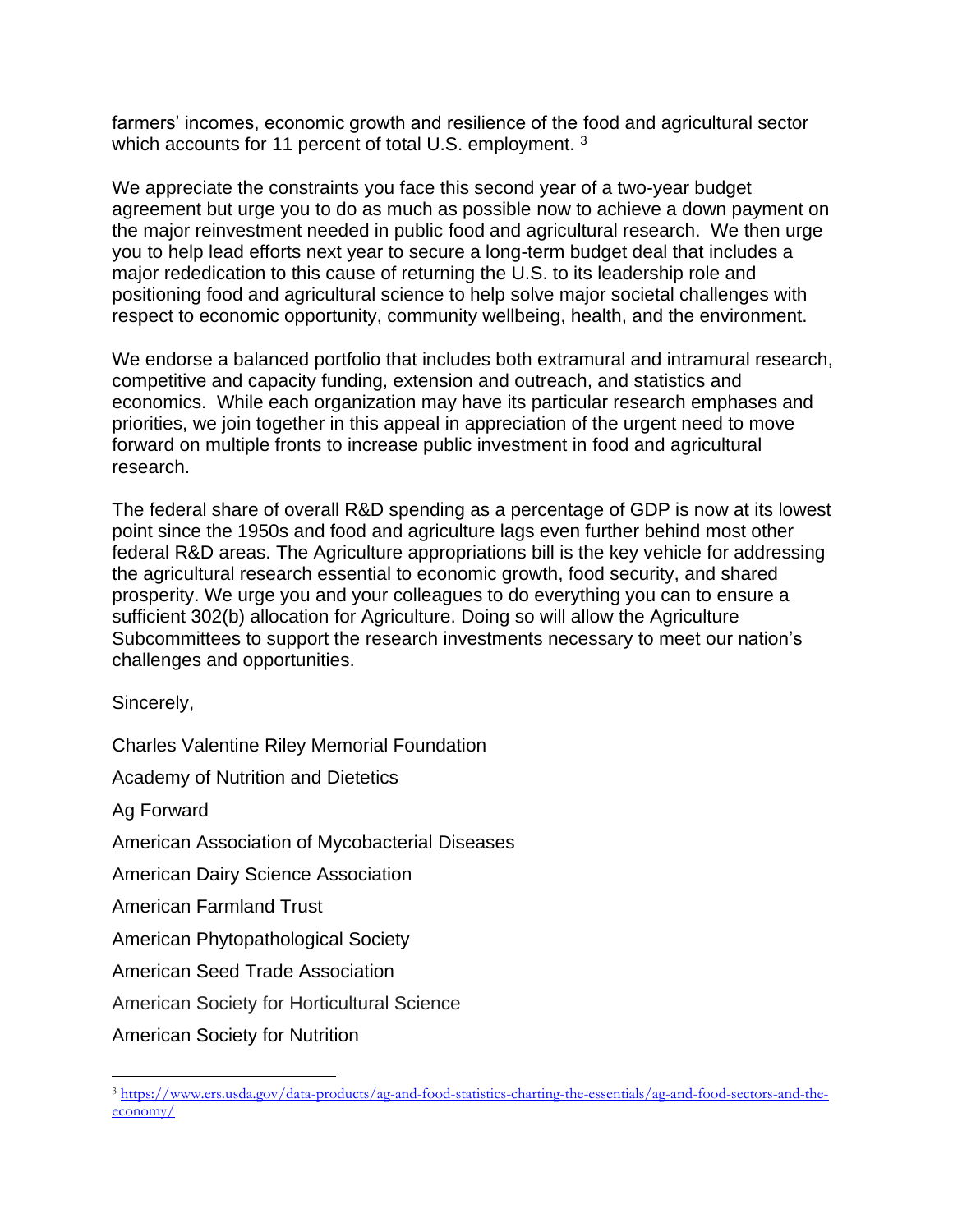farmers' incomes, economic growth and resilience of the food and agricultural sector which accounts for 11 percent of total U.S. employment.<sup>3</sup>

We appreciate the constraints you face this second year of a two-year budget agreement but urge you to do as much as possible now to achieve a down payment on the major reinvestment needed in public food and agricultural research. We then urge you to help lead efforts next year to secure a long-term budget deal that includes a major rededication to this cause of returning the U.S. to its leadership role and positioning food and agricultural science to help solve major societal challenges with respect to economic opportunity, community wellbeing, health, and the environment.

We endorse a balanced portfolio that includes both extramural and intramural research, competitive and capacity funding, extension and outreach, and statistics and economics. While each organization may have its particular research emphases and priorities, we join together in this appeal in appreciation of the urgent need to move forward on multiple fronts to increase public investment in food and agricultural research.

The federal share of overall R&D spending as a percentage of GDP is now at its lowest point since the 1950s and food and agriculture lags even further behind most other federal R&D areas. The Agriculture appropriations bill is the key vehicle for addressing the agricultural research essential to economic growth, food security, and shared prosperity. We urge you and your colleagues to do everything you can to ensure a sufficient 302(b) allocation for Agriculture. Doing so will allow the Agriculture Subcommittees to support the research investments necessary to meet our nation's challenges and opportunities.

Sincerely,

Charles Valentine Riley Memorial Foundation

Academy of Nutrition and Dietetics

Ag Forward

American Association of Mycobacterial Diseases

American Dairy Science Association

American Farmland Trust

American Phytopathological Society

American Seed Trade Association

American Society for Horticultural Science

American Society for Nutrition

<sup>3</sup> [https://www.ers.usda.gov/data-products/ag-and-food-statistics-charting-the-essentials/ag-and-food-sectors-and-the](https://www.ers.usda.gov/data-products/ag-and-food-statistics-charting-the-essentials/ag-and-food-sectors-and-the-economy/)[economy/](https://www.ers.usda.gov/data-products/ag-and-food-statistics-charting-the-essentials/ag-and-food-sectors-and-the-economy/)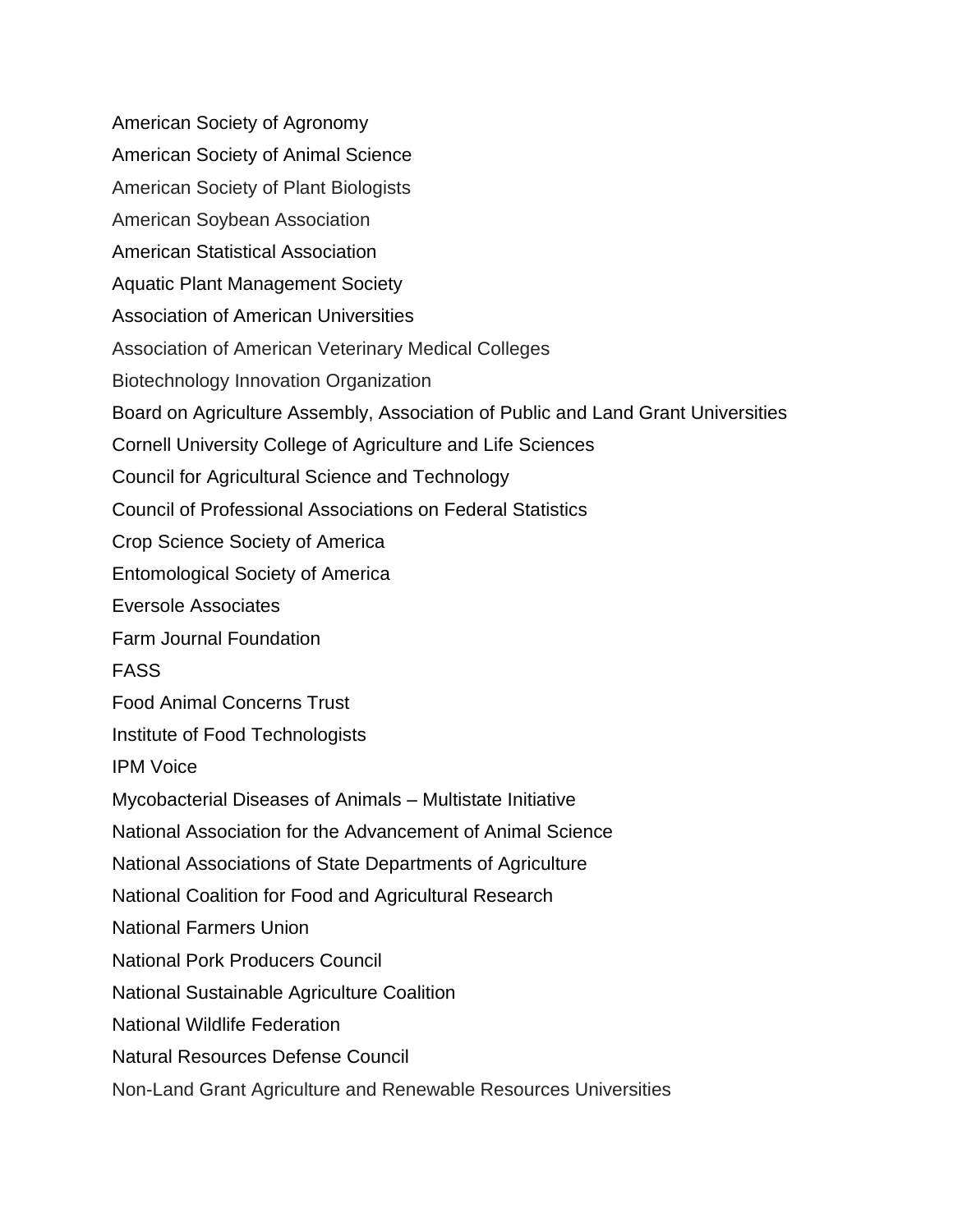American Society of Agronomy American Society of Animal Science American Society of Plant Biologists American Soybean Association American Statistical Association Aquatic Plant Management Society Association of American Universities Association of American Veterinary Medical Colleges Biotechnology Innovation Organization Board on Agriculture Assembly, Association of Public and Land Grant Universities Cornell University College of Agriculture and Life Sciences Council for Agricultural Science and Technology Council of Professional Associations on Federal Statistics Crop Science Society of America Entomological Society of America Eversole Associates Farm Journal Foundation FASS Food Animal Concerns Trust Institute of Food Technologists IPM Voice Mycobacterial Diseases of Animals – Multistate Initiative National Association for the Advancement of Animal Science National Associations of State Departments of Agriculture National Coalition for Food and Agricultural Research National Farmers Union National Pork Producers Council National Sustainable Agriculture Coalition National Wildlife Federation Natural Resources Defense Council Non-Land Grant Agriculture and Renewable Resources Universities